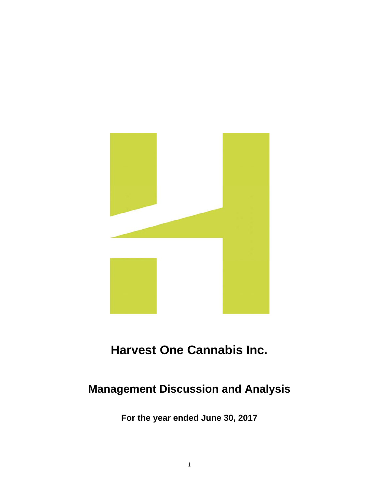

# **Harvest One Cannabis Inc.**

# **Management Discussion and Analysis**

**For the year ended June 30, 2017**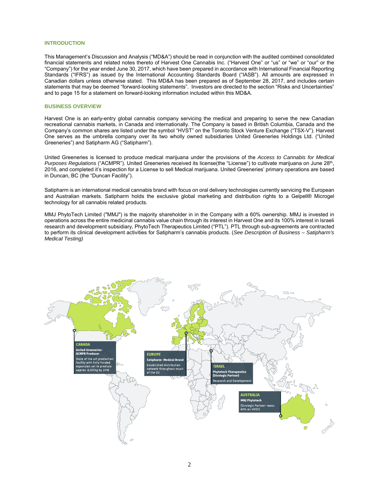# **INTRODUCTION**

This Management's Discussion and Analysis ("MD&A") should be read in conjunction with the audited combined consolidated financial statements and related notes thereto of Harvest One Cannabis Inc. ("Harvest One" or "us" or "we" or "our" or the "Company") for the year ended June 30, 2017, which have been prepared in accordance with International Financial Reporting Standards ("IFRS") as issued by the International Accounting Standards Board ("IASB"). All amounts are expressed in Canadian dollars unless otherwise stated. This MD&A has been prepared as of September 28, 2017, and includes certain statements that may be deemed "forward-looking statements". Investors are directed to the section "Risks and Uncertainties" and to page 15 for a statement on forward-looking information included within this MD&A.

#### **BUSINESS OVERVIEW**

Harvest One is an early-entry global cannabis company servicing the medical and preparing to serve the new Canadian recreational cannabis markets, in Canada and internationally. The Company is based in British Columbia, Canada and the Company's common shares are listed under the symbol "HVST" on the Toronto Stock Venture Exchange ("TSX-V"). Harvest One serves as the umbrella company over its two wholly owned subsidiaries United Greeneries Holdings Ltd. ("United Greeneries") and Satipharm AG ("Satipharm").

United Greeneries is licensed to produce medical marijuana under the provisions of the *Access to Cannabis for Medical Purposes Regulations* ("ACMPR"). United Greeneries received its license(the "License") to cultivate marijuana on June 28<sup>th</sup>, 2016, and completed it's inspection for a License to sell Medical marijuana. United Greeneries' primary operations are based in Duncan, BC (the "Duncan Facility").

Satipharm is an international medical cannabis brand with focus on oral delivery technologies currently servicing the European and Australian markets. Satipharm holds the exclusive global marketing and distribution rights to a Gelpell® Microgel technology for all cannabis related products.

MMJ PhytoTech Limited ("MMJ") is the majority shareholder in in the Company with a 60% ownership. MMJ is invested in operations across the entire medicinal cannabis value chain through its interest in Harvest One and its 100% interest in Israeli research and development subsidiary, PhytoTech Therapeutics Limited ("PTL"). PTL through sub-agreements are contracted to perform its clinical development activities for Satipharm's cannabis products. (*See Description of Business – Satipharm's Medical Testing)*

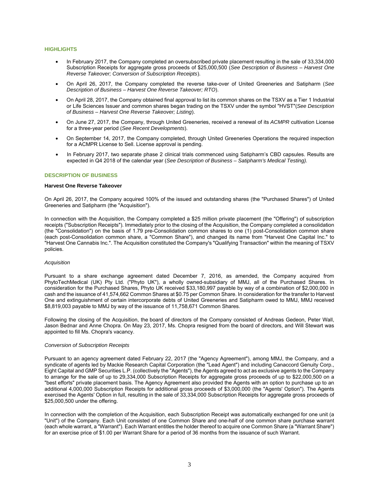# **HIGHLIGHTS**

- In February 2017, the Company completed an oversubscribed private placement resulting in the sale of 33,334,000 Subscription Receipts for aggregate gross proceeds of \$25,000,500 (*See Description of Business – Harvest One Reverse Takeover; Conversion of Subscription Receipts*).
- On April 26, 2017, the Company completed the reverse take-over of United Greeneries and Satipharm (*See Description of Business – Harvest One Reverse Takeover; RTO*).
- On April 28, 2017, the Company obtained final approval to list its common shares on the TSXV as a Tier 1 Industrial or Life Sciences Issuer and common shares began trading on the TSXV under the symbol "HVST"(*See Description of Business – Harvest One Reverse Takeover; Listing*).
- On June 27, 2017, the Company, through United Greeneries, received a renewal of its *ACMPR* cultivation License for a three-year period (*See Recent Developments*).
- On September 14, 2017, the Company completed, through United Greeneries Operations the required inspection for a ACMPR License to Sell. License approval is pending.
- In February 2017, two separate phase 2 clinical trials commenced using Satipharm's CBD capsules. Results are expected in Q4 2018 of the calendar year (*See Description of Business – Satipharm's Medical Testing).*

# **DESCRIPTION OF BUSINESS**

#### **Harvest One Reverse Takeover**

On April 26, 2017, the Company acquired 100% of the issued and outstanding shares (the "Purchased Shares") of United Greeneries and Satipharm (the "Acquisition").

In connection with the Acquisition, the Company completed a \$25 million private placement (the "Offering") of subscription receipts ("Subscription Receipts"). Immediately prior to the closing of the Acquisition, the Company completed a consolidation (the "Consolidation") on the basis of 1.79 pre-Consolidation common shares to one (1) post-Consolidation common share (each post-Consolidation common share, a "Common Share"), and changed its name from "Harvest One Capital Inc." to "Harvest One Cannabis Inc.". The Acquisition constituted the Company's "Qualifying Transaction" within the meaning of TSXV policies.

#### *Acquisition*

Pursuant to a share exchange agreement dated December 7, 2016, as amended, the Company acquired from PhytoTechMedical (UK) Pty Ltd. ("Phyto UK"), a wholly owned-subsidiary of MMJ, all of the Purchased Shares. In consideration for the Purchased Shares, Phyto UK received \$33,180,997 payable by way of a combination of \$2,000,000 in cash and the issuance of 41,574,662 Common Shares at \$0.75 per Common Share. In consideration for the transfer to Harvest One and extinguishment of certain intercorporate debts of United Greeneries and Satipharm owed to MMJ, MMJ received \$8,819,003 payable to MMJ by way of the issuance of 11,758,671 Common Shares.

Following the closing of the Acquisition, the board of directors of the Company consisted of Andreas Gedeon, Peter Wall, Jason Bednar and Anne Chopra. On May 23, 2017, Ms. Chopra resigned from the board of directors, and Will Stewart was appointed to fill Ms. Chopra's vacancy.

### *Conversion of Subscription Receipts*

Pursuant to an agency agreement dated February 22, 2017 (the "Agency Agreement"), among MMJ, the Company, and a syndicate of agents led by Mackie Research Capital Corporation (the "Lead Agent") and including Canaccord Genuity Corp., Eight Capital and GMP Securities L.P. (collectively the "Agents"), the Agents agreed to act as exclusive agents to the Company to arrange for the sale of up to 29,334,000 Subscription Receipts for aggregate gross proceeds of up to \$22,000,500 on a "best efforts" private placement basis. The Agency Agreement also provided the Agents with an option to purchase up to an additional 4,000,000 Subscription Receipts for additional gross proceeds of \$3,000,000 (the "Agents' Option"). The Agents exercised the Agents' Option in full, resulting in the sale of 33,334,000 Subscription Receipts for aggregate gross proceeds of \$25,000,500 under the offering.

In connection with the completion of the Acquisition, each Subscription Receipt was automatically exchanged for one unit (a "Unit") of the Company. Each Unit consisted of one Common Share and one-half of one common share purchase warrant (each whole warrant, a "Warrant"). Each Warrant entitles the holder thereof to acquire one Common Share (a "Warrant Share") for an exercise price of \$1.00 per Warrant Share for a period of 36 months from the issuance of such Warrant.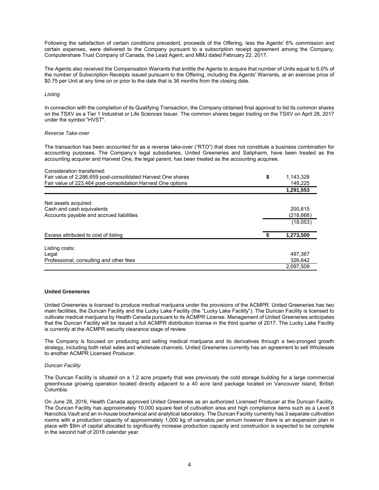Following the satisfaction of certain conditions precedent, proceeds of the Offering, less the Agents' 6% commission and certain expenses, were delivered to the Company pursuant to a subscription receipt agreement among the Company, Computershare Trust Company of Canada, the Lead Agent, and MMJ dated February 22, 2017.

The Agents also received the Compensation Warrants that entitle the Agents to acquire that number of Units equal to 6.0% of the number of Subscription Receipts issued pursuant to the Offering, including the Agents' Warrants, at an exercise price of \$0.75 per Unit at any time on or prior to the date that is 36 months from the closing date.

# *Listing*

In connection with the completion of its Qualifying Transaction, the Company obtained final approval to list its common shares on the TSXV as a Tier 1 Industrial or Life Sciences Issuer. The common shares began trading on the TSXV on April 28, 2017 under the symbol "HVST".

# *Reverse Take-over*

The transaction has been accounted for as a reverse take-over ("RTO") that does not constitute a business combination for accounting purposes. The Company's legal subsidiaries, United Greeneries and Satipharm, have been treated as the accounting acquirer and Harvest One, the legal parent, has been treated as the accounting acquiree.

| Consideration transferred:                                   |                 |
|--------------------------------------------------------------|-----------------|
| Fair value of 2,286,659 post-consolidated Harvest One shares | \$<br>1,143,328 |
| Fair value of 223,464 post-consolidation Harvest One options | 148,225         |
|                                                              | 1,291,553       |
| Net assets acquired:                                         |                 |
| Cash and cash equivalents                                    | 200.615         |
| Accounts payable and accrued liabilities                     | (218, 668)      |
|                                                              | (18,053)        |
| Excess attributed to cost of listing                         | 1,273,500       |
| Listing costs:                                               |                 |
| Legal                                                        | 497.367         |
| Professional, consulting and other fees                      | 326.642         |
|                                                              | 2.097.509       |

# **United Greeneries**

United Greeneries is licensed to produce medical marijuana under the provisions of the ACMPR. United Greeneries has two main facilities, the Duncan Facility and the Lucky Lake Facility (the "Lucky Lake Facility"). The Duncan Facility is licensed to cultivate medical marijuana by Health Canada pursuant to its ACMPR License. Management of United Greeneries anticipates that the Duncan Facility will be issued a full ACMPR distribution license in the third quarter of 2017. The Lucky Lake Facility is currently at the ACMPR security clearance stage of review.

The Company is focused on producing and selling medical marijuana and its derivatives through a two-pronged growth strategy, including both retail sales and wholesale channels. United Greeneries currently has an agreement to sell Wholesale to another ACMPR Licensed Producer.

# *Duncan Facility*

The Duncan Facility is situated on a 1.2 acre property that was previously the cold storage building for a large commercial greenhouse growing operation located directly adjacent to a 40 acre land package located on Vancouver Island, British Columbia.

On June 28, 2016, Health Canada approved United Greeneries as an authorized Licensed Producer at the Duncan Facility. The Duncan Facility has approximately 10,000 square feet of cultivation area and high compliance items such as a Level 8 Narcotics Vault and an in-house biochemical and analytical laboratory. The Duncan Facility currently has 3 separate cultivation rooms with a production capacity of approximately 1,000 kg of cannabis per annum however there is an expansion plan in place with \$9m of capital allocated to significantly increase production capacity and construction is expected to be complete in the second half of 2018 calendar year.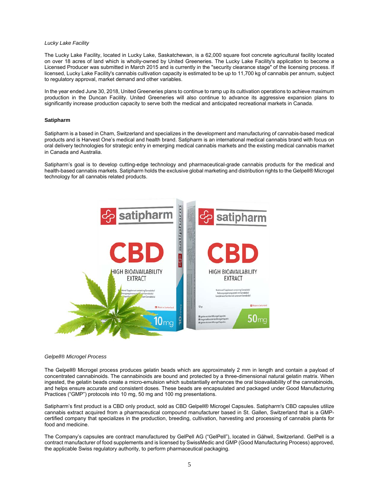# *Lucky Lake Facility*

The Lucky Lake Facility, located in Lucky Lake, Saskatchewan, is a 62,000 square foot concrete agricultural facility located on over 18 acres of land which is wholly-owned by United Greeneries. The Lucky Lake Facility's application to become a Licensed Producer was submitted in March 2015 and is currently in the "security clearance stage" of the licensing process. If licensed, Lucky Lake Facility's cannabis cultivation capacity is estimated to be up to 11,700 kg of cannabis per annum, subject to regulatory approval, market demand and other variables.

In the year ended June 30, 2018, United Greeneries plans to continue to ramp up its cultivation operations to achieve maximum production in the Duncan Facility. United Greeneries will also continue to advance its aggressive expansion plans to significantly increase production capacity to serve both the medical and anticipated recreational markets in Canada.

# **Satipharm**

Satipharm is a based in Cham, Switzerland and specializes in the development and manufacturing of cannabis-based medical products and is Harvest One's medical and health brand. Satipharm is an international medical cannabis brand with focus on oral delivery technologies for strategic entry in emerging medical cannabis markets and the existing medical cannabis market in Canada and Australia.

Satipharm's goal is to develop cutting-edge technology and pharmaceutical-grade cannabis products for the medical and health-based cannabis markets. Satipharm holds the exclusive global marketing and distribution rights to the Gelpell® Microgel technology for all cannabis related products.



#### *Gelpell® Microgel Process*

The Gelpell® Microgel process produces gelatin beads which are approximately 2 mm in length and contain a payload of concentrated cannabinoids. The cannabinoids are bound and protected by a three-dimensional natural gelatin matrix. When ingested, the gelatin beads create a micro-emulsion which substantially enhances the oral bioavailability of the cannabinoids, and helps ensure accurate and consistent doses. These beads are encapsulated and packaged under Good Manufacturing Practices ("GMP") protocols into 10 mg, 50 mg and 100 mg presentations.

Satipharm's first product is a CBD only product, sold as CBD Gelpell® Microgel Capsules. Satipharm's CBD capsules utilize cannabis extract acquired from a pharmaceutical compound manufacturer based in St. Gallen, Switzerland that is a GMPcertified company that specializes in the production, breeding, cultivation, harvesting and processing of cannabis plants for food and medicine.

The Company's capsules are contract manufactured by GelPell AG ("GelPell"), located in Gähwil, Switzerland. GelPell is a contract manufacturer of food supplements and is licensed by SwissMedic and GMP (Good Manufacturing Process) approved, the applicable Swiss regulatory authority, to perform pharmaceutical packaging.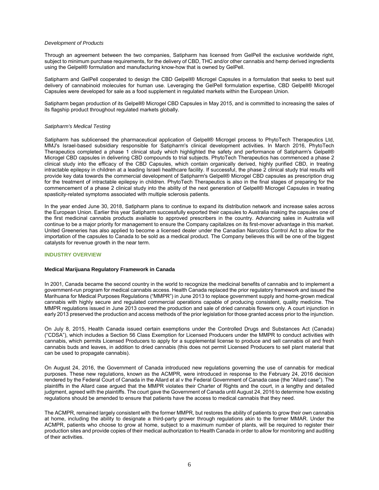## *Development of Products*

Through an agreement between the two companies, Satipharm has licensed from GelPell the exclusive worldwide right, subject to minimum purchase requirements, for the delivery of CBD, THC and/or other cannabis and hemp derived ingredients using the Gelpell® formulation and manufacturing know-how that is owned by GelPell.

Satipharm and GelPell cooperated to design the CBD Gelpell® Microgel Capsules in a formulation that seeks to best suit delivery of cannabinoid molecules for human use. Leveraging the GelPell formulation expertise, CBD Gelpell® Microgel Capsules were developed for sale as a food supplement in regulated markets within the European Union.

Satipharm began production of its Gelpell® Microgel CBD Capsules in May 2015, and is committed to increasing the sales of its flagship product throughout regulated markets globally.

# *Satipharm's Medical Testing*

Satipharm has sublicensed the pharmaceutical application of Gelpell® Microgel process to PhytoTech Therapeutics Ltd, MMJ's Israel-based subsidiary responsible for Satipharm's clinical development activities. In March 2016, PhytoTech Therapeutics completed a phase 1 clinical study which highlighted the safety and performance of Satipharm's Gelpell® Microgel CBD capsules in delivering CBD compounds to trial subjects. PhytoTech Therapeutics has commenced a phase 2 clinical study into the efficacy of the CBD Capsules, which contain organically derived, highly purified CBD, in treating intractable epilepsy in children at a leading Israeli healthcare facility. If successful, the phase 2 clinical study trial results will provide key data towards the commercial development of Satipharm's Gelpell® Microgel CBD capsules as prescription drug for the treatment of intractable epilepsy in children. PhytoTech Therapeutics is also in the final stages of preparing for the commencement of a phase 2 clinical study into the ability of the next generation of Gelpell® Microgel Capsules in treating spasticity-related symptoms associated with multiple sclerosis patients.

In the year ended June 30, 2018, Satipharm plans to continue to expand its distribution network and increase sales across the European Union. Earlier this year Satipharm successfully exported their capsules to Australia making the capsules one of the first medicinal cannabis products available to approved prescribers in the country. Advancing sales in Australia will continue to be a major priority for management to ensure the Company capitalizes on its first-mover advantage in this market. United Greeneries has also applied to become a licensed dealer under the Canadian Narcotics Control Act to allow for the importation of the capsules to Canada to be sold as a medical product. The Company believes this will be one of the biggest catalysts for revenue growth in the near term.

# **INDUSTRY OVERVIEW**

# **Medical Marijuana Regulatory Framework in Canada**

In 2001, Canada became the second country in the world to recognize the medicinal benefits of cannabis and to implement a government-run program for medical cannabis access. Health Canada replaced the prior regulatory framework and issued the Marihuana for Medical Purposes Regulations ("MMPR") in June 2013 to replace government supply and home-grown medical cannabis with highly secure and regulated commercial operations capable of producing consistent, quality medicine. The MMPR regulations issued in June 2013 covered the production and sale of dried cannabis flowers only. A court injunction in early 2013 preserved the production and access methods of the prior legislation for those granted access prior to the injunction.

On July 8, 2015, Health Canada issued certain exemptions under the Controlled Drugs and Substances Act (Canada) ("CDSA"), which includes a Section 56 Class Exemption for Licensed Producers under the MMPR to conduct activities with cannabis, which permits Licensed Producers to apply for a supplemental license to produce and sell cannabis oil and fresh cannabis buds and leaves, in addition to dried cannabis (this does not permit Licensed Producers to sell plant material that can be used to propagate cannabis).

On August 24, 2016, the Government of Canada introduced new regulations governing the use of cannabis for medical purposes. These new regulations, known as the ACMPR, were introduced in response to the February 24, 2016 decision rendered by the Federal Court of Canada in the Allard et al v the Federal Government of Canada case (the "Allard case"). The plaintiffs in the Allard case argued that the MMPR violates their Charter of Rights and the court, in a lengthy and detailed judgment, agreed with the plaintiffs. The court gave the Government of Canada until August 24, 2016 to determine how existing regulations should be amended to ensure that patients have the access to medical cannabis that they need.

The ACMPR, remained largely consistent with the former MMPR, but restores the ability of patients to grow their own cannabis at home, including the ability to designate a third-party grower through regulations akin to the former MMAR. Under the ACMPR, patients who choose to grow at home, subject to a maximum number of plants, will be required to register their production sites and provide copies of their medical authorization to Health Canada in order to allow for monitoring and auditing of their activities.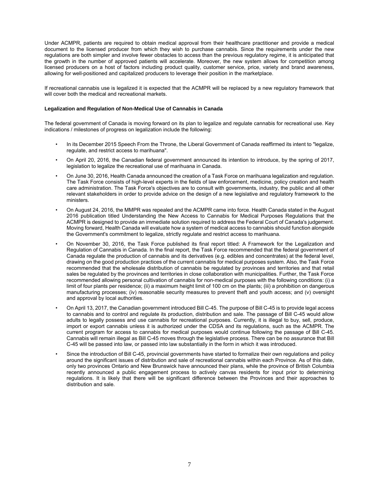Under ACMPR, patients are required to obtain medical approval from their healthcare practitioner and provide a medical document to the licensed producer from which they wish to purchase cannabis. Since the requirements under the new regulations are both simpler and involve fewer obstacles to access than the previous regulatory regime, it is anticipated that the growth in the number of approved patients will accelerate. Moreover, the new system allows for competition among licensed producers on a host of factors including product quality, customer service, price, variety and brand awareness, allowing for well-positioned and capitalized producers to leverage their position in the marketplace.

If recreational cannabis use is legalized it is expected that the ACMPR will be replaced by a new regulatory framework that will cover both the medical and recreational markets.

# **Legalization and Regulation of Non-Medical Use of Cannabis in Canada**

The federal government of Canada is moving forward on its plan to legalize and regulate cannabis for recreational use. Key indications / milestones of progress on legalization include the following:

- In its December 2015 Speech From the Throne, the Liberal Government of Canada reaffirmed its intent to "legalize, regulate, and restrict access to marihuana".
- On April 20, 2016, the Canadian federal government announced its intention to introduce, by the spring of 2017, legislation to legalize the recreational use of marihuana in Canada.
- On June 30, 2016, Health Canada announced the creation of a Task Force on marihuana legalization and regulation. The Task Force consists of high-level experts in the fields of law enforcement, medicine, policy creation and health care administration. The Task Force's objectives are to consult with governments, industry, the public and all other relevant stakeholders in order to provide advice on the design of a new legislative and regulatory framework to the ministers.
- On August 24, 2016, the MMPR was repealed and the ACMPR came into force. Health Canada stated in the August 2016 publication titled Understanding the New Access to Cannabis for Medical Purposes Regulations that the ACMPR is designed to provide an immediate solution required to address the Federal Court of Canada's judgement. Moving forward, Health Canada will evaluate how a system of medical access to cannabis should function alongside the Government's commitment to legalize, strictly regulate and restrict access to marihuana.
- On November 30, 2016, the Task Force published its final report titled: A Framework for the Legalization and Regulation of Cannabis in Canada. In the final report, the Task Force recommended that the federal government of Canada regulate the production of cannabis and its derivatives (e.g. edibles and concentrates) at the federal level, drawing on the good production practices of the current cannabis for medical purposes system. Also, the Task Force recommended that the wholesale distribution of cannabis be regulated by provinces and territories and that retail sales be regulated by the provinces and territories in close collaboration with municipalities. Further, the Task Force recommended allowing personal cultivation of cannabis for non-medical purposes with the following conditions: (i) a limit of four plants per residence; (ii) a maximum height limit of 100 cm on the plants; (iii) a prohibition on dangerous manufacturing processes; (iv) reasonable security measures to prevent theft and youth access; and (v) oversight and approval by local authorities.
- On April 13, 2017, the Canadian government introduced Bill C-45. The purpose of Bill C-45 is to provide legal access to cannabis and to control and regulate its production, distribution and sale. The passage of Bill C-45 would allow adults to legally possess and use cannabis for recreational purposes. Currently, it is illegal to buy, sell, produce, import or export cannabis unless it is authorized under the CDSA and its regulations, such as the ACMPR. The current program for access to cannabis for medical purposes would continue following the passage of Bill C-45. Cannabis will remain illegal as Bill C-45 moves through the legislative process. There can be no assurance that Bill C-45 will be passed into law, or passed into law substantially in the form in which it was introduced.
- Since the introduction of Bill C-45, provincial governments have started to formalize their own regulations and policy around the significant issues of distribution and sale of recreational cannabis within each Province. As of this date, only two provinces Ontario and New Brunswick have announced their plans, while the province of British Columbia recently announced a public engagement process to actively canvas residents for input prior to determining regulations. It is likely that there will be significant difference between the Provinces and their approaches to distribution and sale.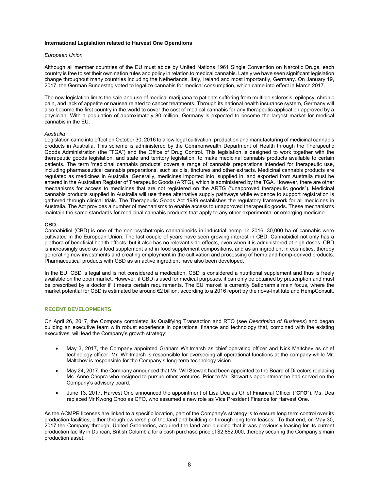# **International Legislation related to Harvest One Operations**

#### *European Union*

Although all member countries of the EU must abide by United Nations 1961 Single Convention on Narcotic Drugs, each country is free to set their own nation rules and policy in relation to medical cannabis. Lately we have seen significant legislation change throughout many countries including the Netherlands, Italy, Ireland and most importantly, Germany. On January 19, 2017, the German Bundestag voted to legalize cannabis for medical consumption, which came into effect in March 2017.

The new legislation limits the sale and use of medical marijuana to patients suffering from multiple sclerosis, epilepsy, chronic pain, and lack of appetite or nausea related to cancer treatments. Through its national health insurance system, Germany will also become the first country in the world to cover the cost of medical cannabis for any therapeutic application approved by a physician. With a population of approximately 80 million, Germany is expected to become the largest market for medical cannabis in the EU.

# *Australia*

Legislation came into effect on October 30, 2016 to allow legal cultivation, production and manufacturing of medicinal cannabis products in Australia. This scheme is administered by the Commonwealth Department of Health through the Therapeutic Goods Administration (the "TGA") and the Office of Drug Control. This legislation is designed to work together with the therapeutic goods legislation, and state and territory legislation, to make medicinal cannabis products available to certain patients. The term 'medicinal cannabis products' covers a range of cannabis preparations intended for therapeutic use, including pharmaceutical cannabis preparations, such as oils, tinctures and other extracts. Medicinal cannabis products are regulated as medicines in Australia. Generally, medicines imported into, supplied in, and exported from Australia must be entered in the Australian Register of Therapeutic Goods (ARTG), which is administered by the TGA. However, there are other mechanisms for access to medicines that are not registered on the ARTG ("unapproved therapeutic goods"). Medicinal cannabis products supplied in Australia will use these alternative supply pathways while evidence to support registration is gathered through clinical trials. The Therapeutic Goods Act 1989 establishes the regulatory framework for all medicines in Australia. The Act provides a number of mechanisms to enable access to unapproved therapeutic goods. These mechanisms maintain the same standards for medicinal cannabis products that apply to any other experimental or emerging medicine.

#### **CBD**

Cannabidiol (CBD) is one of the non-psychotropic cannabinoids in industrial hemp. In 2016, 30,000 ha of cannabis were cultivated in the European Union. The last couple of years have seen growing interest in CBD. Cannabidiol not only has a plethora of beneficial health effects, but it also has no relevant side-effects, even when it is administered at high doses. CBD is increasingly used as a food supplement and in food supplement compositions, and as an ingredient in cosmetics, thereby generating new investments and creating employment in the cultivation and processing of hemp and hemp-derived products. Pharmaceutical products with CBD as an active ingredient have also been developed.

In the EU, CBD is legal and is not considered a medication. CBD is considered a nutritional supplement and thus is freely available on the open market. However, if CBD is used for medical purposes, it can only be obtained by prescription and must be prescribed by a doctor if it meets certain requirements. The EU market is currently Satipharm's main focus, where the market potential for CBD is estimated be around €2 billion, according to a 2016 report by the nova-Institute and HempConsult.

# **RECENT DEVELOPMENTS**

On April 26, 2017, the Company completed its Qualifying Transaction and RTO (see *Description of Business*) and began building an executive team with robust experience in operations, finance and technology that, combined with the existing executives, will lead the Company's growth strategy:

- May 3, 2017, the Company appointed Graham Whitmarsh as chief operating officer and Nick Maltchev as chief technology officer. Mr. Whitmarsh is responsible for overseeing all operational functions at the company while Mr. Maltchev is responsible for the Company's long-term technology vision.
- May 24, 2017, the Company announced that Mr. Will Stewart had been appointed to the Board of Directors replacing Ms. Anne Chopra who resigned to pursue other ventures. Prior to Mr. Stewart's appointment he had served on the Company's advisory board.
- June 13, 2017, Harvest One announced the appointment of Lisa Dea as Chief Financial Officer ("**CFO**"). Ms. Dea replaced Mr Kwong Choo as CFO, who assumed a new role as Vice President Finance for Harvest One.

As the ACMPR licenses are linked to a specific location, part of the Company's strategy is to ensure long term control over its production facilities, either through ownership of the land and building or through long term leases. To that end, on May 30, 2017 the Company through, United Greeneries, acquired the land and building that it was previously leasing for its current production facility in Duncan, British Columbia for a cash purchase price of \$2,862,000, thereby securing the Company's main production asset.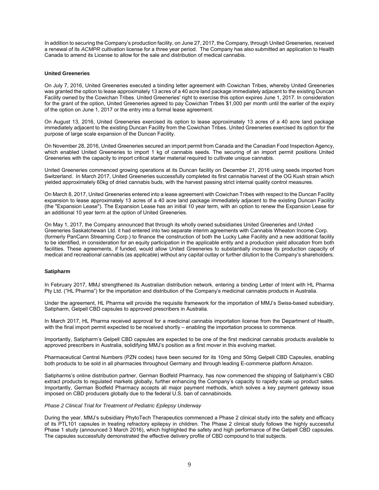In addition to securing the Company's production facility, on June 27, 2017, the Company, through United Greeneries, received a renewal of its *ACMPR* cultivation license for a three year period. The Company has also submitted an application to Health Canada to amend its License to allow for the sale and distribution of medical cannabis.

# **United Greeneries**

On July 7, 2016, United Greeneries executed a binding letter agreement with Cowichan Tribes, whereby United Greeneries was granted the option to lease approximately 13 acres of a 40 acre land package immediately adjacent to the existing Duncan Facility owned by the Cowichan Tribes. United Greeneries' right to exercise this option expires June 1, 2017. In consideration for the grant of the option, United Greeneries agreed to pay Cowichan Tribes \$1,000 per month until the earlier of the expiry of the option on June 1, 2017 or the entry into a formal lease agreement.

On August 13, 2016, United Greeneries exercised its option to lease approximately 13 acres of a 40 acre land package immediately adjacent to the existing Duncan Facility from the Cowichan Tribes. United Greeneries exercised its option for the purpose of large scale expansion of the Duncan Facility.

On November 28, 2016, United Greeneries secured an import permit from Canada and the Canadian Food Inspection Agency, which enabled United Greeneries to import 1 kg of cannabis seeds. The securing of an import permit positions United Greeneries with the capacity to import critical starter material required to cultivate unique cannabis.

United Greeneries commenced growing operations at its Duncan facility on December 21, 2016 using seeds imported from Switzerland. In March 2017, United Greeneries successfully completed its first cannabis harvest of the OG Kush strain which yielded approximately 60kg of dried cannabis buds, with the harvest passing strict internal quality control measures.

On March 8, 2017, United Greeneries entered into a lease agreement with Cowichan Tribes with respect to the Duncan Facility expansion to lease approximately 13 acres of a 40 acre land package immediately adjacent to the existing Duncan Facility (the "Expansion Lease"). The Expansion Lease has an initial 10 year term, with an option to renew the Expansion Lease for an additional 10 year term at the option of United Greeneries.

On May 1, 2017, the Company announced that through its wholly owned subsidiaries United Greeneries and United Greeneries Saskatchewan Ltd. it had entered into two separate interim agreements with Cannabis Wheaton Income Corp. (formerly PanCann Streaming Corp.) to finance the construction of both the Lucky Lake Facility and a new additional facility to be identified, in consideration for an equity participation in the applicable entity and a production yield allocation from both facilities. These agreements, if funded, would allow United Greeneries to substantially increase its production capacity of medical and recreational cannabis (as applicable) without any capital outlay or further dilution to the Company's shareholders.

# **Satipharm**

In February 2017, MMJ strengthened its Australian distribution network, entering a binding Letter of Intent with HL Pharma Pty Ltd. ("HL Pharma") for the importation and distribution of the Company's medicinal cannabis products in Australia.

Under the agreement, HL Pharma will provide the requisite framework for the importation of MMJ's Swiss-based subsidiary, Satipharm, Gelpell CBD capsules to approved prescribers in Australia.

In March 2017, HL Pharma received approval for a medicinal cannabis importation license from the Department of Health, with the final import permit expected to be received shortly – enabling the importation process to commence.

Importantly, Satipharm's Gelpell CBD capsules are expected to be one of the first medicinal cannabis products available to approved prescribers in Australia, solidifying MMJ's position as a first mover in this evolving market.

Pharmaceutical Central Numbers (PZN codes) have been secured for its 10mg and 50mg Gelpell CBD Capsules, enabling both products to be sold in all pharmacies throughout Germany and through leading E-commerce platform Amazon.

Satipharms's online distribution partner, German Bodfeld Pharmacy, has now commenced the shipping of Satipharm's CBD extract products to regulated markets globally, further enhancing the Company's capacity to rapidly scale up product sales. Importantly, German Bodfeld Pharmacy accepts all major payment methods, which solves a key payment gateway issue imposed on CBD producers globally due to the federal U.S. ban of cannabinoids.

# *Phase 2 Clinical Trial for Treatment of Pediatric Epilepsy Underway*

During the year, MMJ's subsidiary PhytoTech Therapeutics commenced a Phase 2 clinical study into the safety and efficacy of its PTL101 capsules in treating refractory epilepsy in children. The Phase 2 clinical study follows the highly successful Phase 1 study (announced 3 March 2016), which highlighted the safety and high performance of the Gelpell CBD capsules. The capsules successfully demonstrated the effective delivery profile of CBD compound to trial subjects.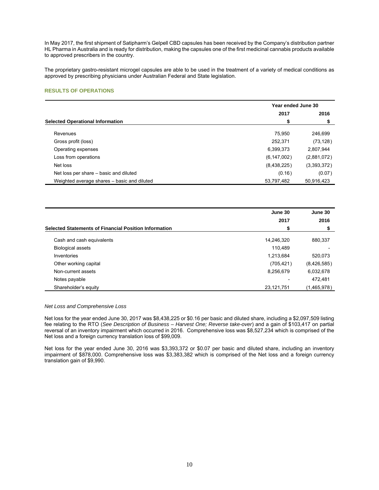In May 2017, the first shipment of Satipharm's Gelpell CBD capsules has been received by the Company's distribution partner HL Pharma in Australia and is ready for distribution, making the capsules one of the first medicinal cannabis products available to approved prescribers in the country.

The proprietary gastro-resistant microgel capsules are able to be used in the treatment of a variety of medical conditions as approved by prescribing physicians under Australian Federal and State legislation.

# **RESULTS OF OPERATIONS**

|                                             | Year ended June 30 |             |  |
|---------------------------------------------|--------------------|-------------|--|
|                                             | 2017               | 2016        |  |
| <b>Selected Operational Information</b>     | \$                 | S           |  |
| Revenues                                    | 75.950             | 246.699     |  |
| Gross profit (loss)                         | 252.371            | (73, 128)   |  |
| Operating expenses                          | 6,399,373          | 2,807,944   |  |
| Loss from operations                        | (6, 147, 002)      | (2,881,072) |  |
| Net loss                                    | (8,438,225)        | (3,393,372) |  |
| Net loss per share – basic and diluted      | (0.16)             | (0.07)      |  |
| Weighted average shares – basic and diluted | 53,797,482         | 50,916,423  |  |

|                                                              | June 30    |             |
|--------------------------------------------------------------|------------|-------------|
|                                                              | 2017       | 2016        |
| <b>Selected Statements of Financial Position Information</b> | S          | S           |
| Cash and cash equivalents                                    | 14,246,320 | 880.337     |
| <b>Biological assets</b>                                     | 110,489    |             |
| Inventories                                                  | 1,213,684  | 520.073     |
| Other working capital                                        | (705, 421) | (8,426,585) |
| Non-current assets                                           | 8,256,679  | 6,032,678   |
| Notes payable                                                |            | 472.481     |
| Shareholder's equity                                         | 23,121,751 | (1,465,978) |

*Net Loss and Comprehensive Loss* 

Net loss for the year ended June 30, 2017 was \$8,438,225 or \$0.16 per basic and diluted share, including a \$2,097,509 listing fee relating to the RTO (*See Description of Business – Harvest One; Reverse take-over*) and a gain of \$103,417 on partial reversal of an inventory impairment which occurred in 2016. Comprehensive loss was \$8,527,234 which is comprised of the Net loss and a foreign currency translation loss of \$99,009.

Net loss for the year ended June 30, 2016 was \$3,393,372 or \$0.07 per basic and diluted share, including an inventory impairment of \$878,000. Comprehensive loss was \$3,383,382 which is comprised of the Net loss and a foreign currency translation gain of \$9,990.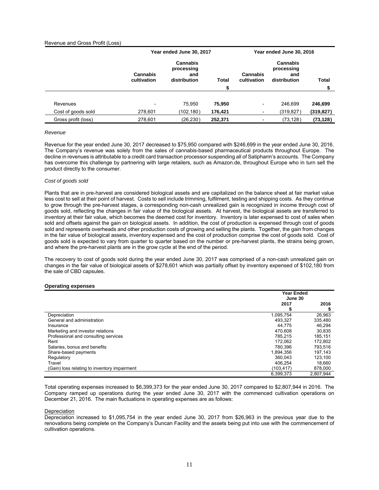# Revenue and Gross Profit (Loss)

|                     | Year ended June 30, 2017       |                                                      | Year ended June 30, 2016 |                          |                                                      |              |
|---------------------|--------------------------------|------------------------------------------------------|--------------------------|--------------------------|------------------------------------------------------|--------------|
|                     | <b>Cannabis</b><br>cultivation | <b>Cannabis</b><br>processing<br>and<br>distribution | Total                    | Cannabis<br>cultivation  | <b>Cannabis</b><br>processing<br>and<br>distribution | <b>Total</b> |
|                     |                                |                                                      |                          |                          |                                                      |              |
| Revenues            | $\overline{\phantom{a}}$       | 75.950                                               | 75,950                   | $\overline{\phantom{a}}$ | 246.699                                              | 246,699      |
| Cost of goods sold  | 278,601                        | (102, 180)                                           | 176,421                  | -                        | (319,827)                                            | (319, 827)   |
| Gross profit (loss) | 278,601                        | (26, 230)                                            | 252,371                  | -                        | (73, 128)                                            | (73, 128)    |

# *Revenue*

Revenue for the year ended June 30, 2017 decreased to \$75,950 compared with \$246,699 in the year ended June 30, 2016. The Company's revenue was solely from the sales of cannabis-based pharmaceutical products throughout Europe. The decline in revenues is attributable to a credit card transaction processor suspending all of Satipharm's accounts. The Company has overcome this challenge by partnering with large retailers, such as Amazon.de, throughout Europe who in turn sell the product directly to the consumer.

#### *Cost of goods sold*

Plants that are in pre-harvest are considered biological assets and are capitalized on the balance sheet at fair market value less cost to sell at their point of harvest. Costs to sell include trimming, fulfilment, testing and shipping costs. As they continue to grow through the pre-harvest stages, a corresponding non-cash unrealized gain is recognized in income through cost of goods sold, reflecting the changes in fair value of the biological assets. At harvest, the biological assets are transferred to inventory at their fair value, which becomes the deemed cost for inventory. Inventory is later expensed to cost of sales when sold and offsets against the gain on biological assets. In addition, the cost of production is expensed through cost of goods sold and represents overheads and other production costs of growing and selling the plants. Together, the gain from changes in the fair value of biological assets, inventory expensed and the cost of production comprise the cost of goods sold. Cost of goods sold is expected to vary from quarter to quarter based on the number or pre-harvest plants, the strains being grown, and where the pre-harvest plants are in the grow cycle at the end of the period.

The recovery to cost of goods sold during the year ended June 30, 2017 was comprised of a non-cash unrealized gain on changes in the fair value of biological assets of \$278,601 which was partially offset by inventory expensed of \$102,180 from the sale of CBD capsules.

# **Operating expenses**

|                                              | <b>Year Ended</b> |           |  |
|----------------------------------------------|-------------------|-----------|--|
|                                              | June 30           |           |  |
|                                              | 2017              | 2016      |  |
|                                              |                   |           |  |
| Depreciation                                 | 1,095,754         | 26,963    |  |
| General and administration                   | 493,327           | 335,480   |  |
| Insurance                                    | 44.775            | 46,294    |  |
| Marketing and investor relations             | 470.608           | 30,835    |  |
| Professional and consulting services         | 785.215           | 185,151   |  |
| Rent                                         | 172.062           | 172,802   |  |
| Salaries, bonus and benefits                 | 780.396           | 793,516   |  |
| Share-based payments                         | 1.894.356         | 197,143   |  |
| Regulatory                                   | 360.043           | 123,100   |  |
| Travel                                       | 406.254           | 18,660    |  |
| (Gain) loss relating to inventory impairment | (103,417)         | 878,000   |  |
|                                              | 6,399,373         | 2.807.944 |  |

Total operating expenses increased to \$6,399,373 for the year ended June 30, 2017 compared to \$2,807,944 in 2016. The Company ramped up operations during the year ended June 30, 2017 with the commenced cultivation operations on December 21, 2016. The main fluctuations in operating expenses are as follows:

#### **Depreciation**

Depreciation increased to \$1,095,754 in the year ended June 30, 2017 from \$26,963 in the previous year due to the renovations being complete on the Company's Duncan Facility and the assets being put into use with the commencement of cultivation operations.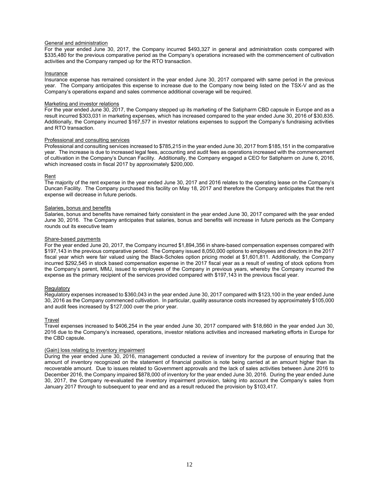# General and administration

For the year ended June 30, 2017, the Company incurred \$493,327 in general and administration costs compared with \$335,480 for the previous comparative period as the Company's operations increased with the commencement of cultivation activities and the Company ramped up for the RTO transaction.

# Insurance

Insurance expense has remained consistent in the year ended June 30, 2017 compared with same period in the previous year. The Company anticipates this expense to increase due to the Company now being listed on the TSX-V and as the Company's operations expand and sales commence additional coverage will be required.

# Marketing and investor relations

For the year ended June 30, 2017, the Company stepped up its marketing of the Satipharm CBD capsule in Europe and as a result incurred \$303,031 in marketing expenses, which has increased compared to the year ended June 30, 2016 of \$30,835. Additionally, the Company incurred \$167,577 in investor relations expenses to support the Company's fundraising activities and RTO transaction.

# Professional and consulting services

Professional and consulting services increased to \$785,215 in the year ended June 30, 2017 from \$185,151 in the comparative year. The increase is due to increased legal fees, accounting and audit fees as operations increased with the commencement of cultivation in the Company's Duncan Facility. Additionally, the Company engaged a CEO for Satipharm on June 6, 2016, which increased costs in fiscal 2017 by approximately \$200,000.

# Rent

The majority of the rent expense in the year ended June 30, 2017 and 2016 relates to the operating lease on the Company's Duncan Facility. The Company purchased this facility on May 18, 2017 and therefore the Company anticipates that the rent expense will decrease in future periods.

# Salaries, bonus and benefits

Salaries, bonus and benefits have remained fairly consistent in the year ended June 30, 2017 compared with the year ended June 30, 2016. The Company anticipates that salaries, bonus and benefits will increase in future periods as the Company rounds out its executive team

# Share-based payments

For the year ended June 20, 2017, the Company incurred \$1,894,356 in share-based compensation expenses compared with \$197,143 in the previous comparative period. The Company issued 8,050,000 options to employees and directors in the 2017 fiscal year which were fair valued using the Black-Scholes option pricing model at \$1,601,811. Additionally, the Company incurred \$292,545 in stock based compensation expense in the 2017 fiscal year as a result of vesting of stock options from the Company's parent, MMJ, issued to employees of the Company in previous years, whereby the Company incurred the expense as the primary recipient of the services provided compared with \$197,143 in the previous fiscal year.

#### **Regulatory**

Regulatory expenses increased to \$360,043 in the year ended June 30, 2017 compared with \$123,100 in the year ended June 30, 2016 as the Company commenced cultivation. In particular, quality assurance costs increased by approximately \$105,000 and audit fees increased by \$127,000 over the prior year.

# **Travel**

Travel expenses increased to \$406,254 in the year ended June 30, 2017 compared with \$18,660 in the year ended Jun 30, 2016 due to the Company's increased, operations, investor relations activities and increased marketing efforts in Europe for the CBD capsule.

# (Gain) loss relating to inventory impairment

During the year ended June 30, 2016, management conducted a review of inventory for the purpose of ensuring that the amount of inventory recognized on the statement of financial position is note being carried at an amount higher than its recoverable amount. Due to issues related to Government approvals and the lack of sales activities between June 2016 to December 2016, the Company impaired \$878,000 of inventory for the year ended June 30, 2016. During the year ended June 30, 2017, the Company re-evaluated the inventory impairment provision, taking into account the Company's sales from January 2017 through to subsequent to year end and as a result reduced the provision by \$103,417.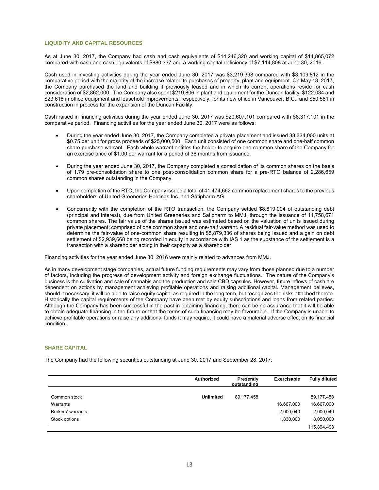# **LIQUIDITY AND CAPITAL RESOURCES**

As at June 30, 2017, the Company had cash and cash equivalents of \$14,246,320 and working capital of \$14,865,072 compared with cash and cash equivalents of \$880,337 and a working capital deficiency of \$7,114,808 at June 30, 2016.

Cash used in investing activities during the year ended June 30, 2017 was \$3,219,398 compared with \$3,109,812 in the comparative period with the majority of the increase related to purchases of property, plant and equipment. On May 18, 2017, the Company purchased the land and building it previously leased and in which its current operations reside for cash consideration of \$2,862,000. The Company also spent \$219,806 in plant and equipment for the Duncan facility, \$122,034 and \$23,618 in office equipment and leasehold improvements, respectively, for its new office in Vancouver, B.C., and \$50,581 in construction in process for the expansion of the Duncan Facility.

Cash raised in financing activities during the year ended June 30, 2017 was \$20,607,101 compared with \$6,317,101 in the comparative period. Financing activities for the year ended June 30, 2017 were as follows:

- During the year ended June 30, 2017, the Company completed a private placement and issued 33,334,000 units at \$0.75 per unit for gross proceeds of \$25,000,500. Each unit consisted of one common share and one-half common share purchase warrant. Each whole warrant entitles the holder to acquire one common share of the Company for an exercise price of \$1.00 per warrant for a period of 36 months from issuance.
- During the year ended June 30, 2017, the Company completed a consolidation of its common shares on the basis of 1.79 pre-consolidation share to one post-consolidation common share for a pre-RTO balance of 2,286,659 common shares outstanding in the Company.
- Upon completion of the RTO, the Company issued a total of 41,474,662 common replacement shares to the previous shareholders of United Greeneries Holdings Inc. and Satipharm AG.
- Concurrently with the completion of the RTO transaction, the Company settled \$8,819,004 of outstanding debt (principal and interest), due from United Greeneries and Satipharm to MMJ, through the issuance of 11,758,671 common shares. The fair value of the shares issued was estimated based on the valuation of units issued during private placement; comprised of one common share and one-half warrant. A residual fair-value method was used to determine the fair-value of one-common share resulting in \$5,879,336 of shares being issued and a gain on debt settlement of \$2,939,668 being recorded in equity in accordance with IAS 1 as the substance of the settlement is a transaction with a shareholder acting in their capacity as a shareholder.

Financing activities for the year ended June 30, 2016 were mainly related to advances from MMJ.

As in many development stage companies, actual future funding requirements may vary from those planned due to a number of factors, including the progress of development activity and foreign exchange fluctuations. The nature of the Company's business is the cultivation and sale of cannabis and the production and sale CBD capsules. However, future inflows of cash are dependent on actions by management achieving profitable operations and raising additional capital. Management believes, should it necessary, it will be able to raise equity capital as required in the long term, but recognizes the risks attached thereto. Historically the capital requirements of the Company have been met by equity subscriptions and loans from related parties. Although the Company has been successful in the past in obtaining financing, there can be no assurance that it will be able to obtain adequate financing in the future or that the terms of such financing may be favourable. If the Company is unable to achieve profitable operations or raise any additional funds it may require, it could have a material adverse effect on its financial condition.

# **SHARE CAPITAL**

The Company had the following securities outstanding at June 30, 2017 and September 28, 2017:

|                   | Authorized       | Presently<br>outstanding | Exercisable | <b>Fully diluted</b> |
|-------------------|------------------|--------------------------|-------------|----------------------|
| Common stock      | <b>Unlimited</b> | 89,177,458               |             | 89,177,458           |
| Warrants          |                  |                          | 16,667,000  | 16,667,000           |
| Brokers' warrants |                  |                          | 2,000,040   | 2,000,040            |
| Stock options     |                  |                          | 1,830,000   | 8,050,000            |
|                   |                  |                          |             | 115,894,498          |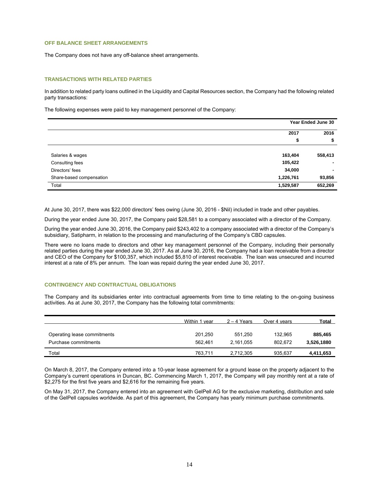# **OFF BALANCE SHEET ARRANGEMENTS**

The Company does not have any off-balance sheet arrangements.

# **TRANSACTIONS WITH RELATED PARTIES**

In addition to related party loans outlined in the Liquidity and Capital Resources section, the Company had the following related party transactions:

The following expenses were paid to key management personnel of the Company:

|                          |           | Year Ended June 30 |
|--------------------------|-----------|--------------------|
|                          | 2017      | 2016               |
|                          | \$        | \$                 |
| Salaries & wages         | 163,404   | 558,413            |
| Consulting fees          | 105,422   | ۰.                 |
| Directors' fees          | 34,000    | ۰                  |
| Share-based compensation | 1,226,761 | 93,856             |
| Total                    | 1,529,587 | 652,269            |

At June 30, 2017, there was \$22,000 directors' fees owing (June 30, 2016 - \$Nil) included in trade and other payables.

During the year ended June 30, 2017, the Company paid \$28,581 to a company associated with a director of the Company.

During the year ended June 30, 2016, the Company paid \$243,402 to a company associated with a director of the Company's subsidiary, Satipharm, in relation to the processing and manufacturing of the Company's CBD capsules.

There were no loans made to directors and other key management personnel of the Company, including their personally related parties during the year ended June 30, 2017. As at June 30, 2016, the Company had a loan receivable from a director and CEO of the Company for \$100,357, which included \$5,810 of interest receivable. The loan was unsecured and incurred interest at a rate of 8% per annum. The loan was repaid during the year ended June 30, 2017.

# **CONTINGENCY AND CONTRACTUAL OBLIGATIONS**

The Company and its subsidiaries enter into contractual agreements from time to time relating to the on-going business activities. As at June 30, 2017, the Company has the following total commitments:

|                             | Within 1 year | $2 - 4$ Years | Over 4 years | Total      |
|-----------------------------|---------------|---------------|--------------|------------|
|                             |               |               |              |            |
| Operating lease commitments | 201.250       | 551.250       | 132.965      | 885,465    |
| Purchase commitments        | 562.461       | 2.161.055     | 802.672      | 3,526,1880 |
| Total                       | 763,711       | 2,712,305     | 935.637      | 4,411,653  |

On March 8, 2017, the Company entered into a 10-year lease agreement for a ground lease on the property adjacent to the Company's current operations in Duncan, BC. Commencing March 1, 2017, the Company will pay monthly rent at a rate of \$2,275 for the first five years and \$2,616 for the remaining five years.

On May 31, 2017, the Company entered into an agreement with GelPell AG for the exclusive marketing, distribution and sale of the GelPell capsules worldwide. As part of this agreement, the Company has yearly minimum purchase commitments.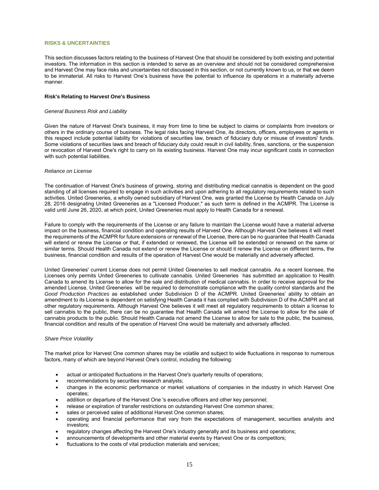# **RISKS & UNCERTAINTIES**

This section discusses factors relating to the business of Harvest One that should be considered by both existing and potential investors. The information in this section is intended to serve as an overview and should not be considered comprehensive and Harvest One may face risks and uncertainties not discussed in this section, or not currently known to us, or that we deem to be immaterial. All risks to Harvest One's business have the potential to influence its operations in a materially adverse manner.

# **Risk's Relating to Harvest One's Business**

# *General Business Risk and Liability*

Given the nature of Harvest One's business, it may from time to time be subject to claims or complaints from investors or others in the ordinary course of business. The legal risks facing Harvest One, its directors, officers, employees or agents in this respect include potential liability for violations of securities law, breach of fiduciary duty or misuse of investors' funds. Some violations of securities laws and breach of fiduciary duty could result in civil liability, fines, sanctions, or the suspension or revocation of Harvest One's right to carry on its existing business. Harvest One may incur significant costs in connection with such potential liabilities.

#### *Reliance on License*

The continuation of Harvest One's business of growing, storing and distributing medical cannabis is dependent on the good standing of all licenses required to engage in such activities and upon adhering to all regulatory requirements related to such activities. United Greeneries, a wholly owned subsidiary of Harvest One, was granted the License by Health Canada on July 28, 2016 designating United Greeneries as a "Licensed Producer," as such term is defined in the ACMPR. The License is valid until June 26, 2020, at which point, United Greeneries must apply to Health Canada for a renewal.

Failure to comply with the requirements of the License or any failure to maintain the License would have a material adverse impact on the business, financial condition and operating results of Harvest One. Although Harvest One believes it will meet the requirements of the ACMPR for future extensions or renewal of the License, there can be no guarantee that Health Canada will extend or renew the License or that, if extended or renewed, the License will be extended or renewed on the same or similar terms. Should Health Canada not extend or renew the License or should it renew the License on different terms, the business, financial condition and results of the operation of Harvest One would be materially and adversely affected.

United Greeneries' current License does not permit United Greeneries to sell medical cannabis. As a recent licensee, the Licenses only permits United Greeneries to cultivate cannabis. United Greeneries has submitted an application to Health Canada to amend its License to allow for the sale and distribution of medical cannabis. In order to receive approval for the amended License, United Greeneries will be required to demonstrate compliance with the quality control standards and the *Good Production Practices* as established under Subdivision D of the ACMPR. United Greeneries' ability to obtain an amendment to its License is dependent on satisfying Health Canada it has complied with Subdivision D of the ACMPR and all other regulatory requirements. Although Harvest One believes it will meet all regulatory requirements to obtain a license to sell cannabis to the public, there can be no guarantee that Health Canada will amend the License to allow for the sale of cannabis products to the public. Should Health Canada not amend the License to allow for sale to the public, the business, financial condition and results of the operation of Harvest One would be materially and adversely affected.

#### *Share Price Volatility*

The market price for Harvest One common shares may be volatile and subject to wide fluctuations in response to numerous factors, many of which are beyond Harvest One's control, including the following:

- actual or anticipated fluctuations in the Harvest One's quarterly results of operations;
- recommendations by securities research analysts;
- changes in the economic performance or market valuations of companies in the industry in which Harvest One operates;
- addition or departure of the Harvest One 's executive officers and other key personnel;
- release or expiration of transfer restrictions on outstanding Harvest One common shares;
- sales or perceived sales of additional Harvest One common shares;
- operating and financial performance that vary from the expectations of management, securities analysts and investors;
- regulatory changes affecting the Harvest One's industry generally and its business and operations;
- announcements of developments and other material events by Harvest One or its competitors;
- fluctuations to the costs of vital production materials and services;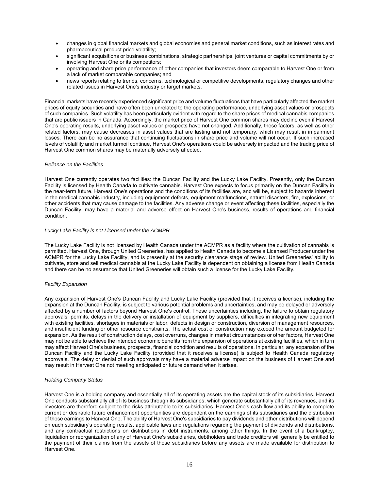- changes in global financial markets and global economies and general market conditions, such as interest rates and pharmaceutical product price volatility;
- significant acquisitions or business combinations, strategic partnerships, joint ventures or capital commitments by or involving Harvest One or its competitors;
- operating and share price performance of other companies that investors deem comparable to Harvest One or from a lack of market comparable companies; and
- news reports relating to trends, concerns, technological or competitive developments, regulatory changes and other related issues in Harvest One's industry or target markets.

Financial markets have recently experienced significant price and volume fluctuations that have particularly affected the market prices of equity securities and have often been unrelated to the operating performance, underlying asset values or prospects of such companies. Such volatility has been particularly evident with regard to the share prices of medical cannabis companies that are public issuers in Canada. Accordingly, the market price of Harvest One common shares may decline even if Harvest One's operating results, underlying asset values or prospects have not changed. Additionally, these factors, as well as other related factors, may cause decreases in asset values that are lasting and not temporary, which may result in impairment losses. There can be no assurance that continuing fluctuations in share price and volume will not occur. If such increased levels of volatility and market turmoil continue, Harvest One's operations could be adversely impacted and the trading price of Harvest One common shares may be materially adversely affected.

# *Reliance on the Facilities*

Harvest One currently operates two facilities: the Duncan Facility and the Lucky Lake Facility. Presently, only the Duncan Facility is licensed by Health Canada to cultivate cannabis. Harvest One expects to focus primarily on the Duncan Facility in the near-term future. Harvest One's operations and the conditions of its facilities are, and will be, subject to hazards inherent in the medical cannabis industry, including equipment defects, equipment malfunctions, natural disasters, fire, explosions, or other accidents that may cause damage to the facilities. Any adverse change or event affecting these facilities, especially the Duncan Facility, may have a material and adverse effect on Harvest One's business, results of operations and financial condition.

# *Lucky Lake Facility is not Licensed under the ACMPR*

The Lucky Lake Facility is not licensed by Health Canada under the ACMPR as a facility where the cultivation of cannabis is permitted. Harvest One, through United Greeneries, has applied to Health Canada to become a Licensed Producer under the ACMPR for the Lucky Lake Facility, and is presently at the security clearance stage of review. United Greeneries' ability to cultivate, store and sell medical cannabis at the Lucky Lake Facility is dependent on obtaining a license from Health Canada and there can be no assurance that United Greeneries will obtain such a license for the Lucky Lake Facility.

# *Facility Expansion*

Any expansion of Harvest One's Duncan Facility and Lucky Lake Facility (provided that it receives a license), including the expansion at the Duncan Facility, is subject to various potential problems and uncertainties, and may be delayed or adversely affected by a number of factors beyond Harvest One's control. These uncertainties including, the failure to obtain regulatory approvals, permits, delays in the delivery or installation of equipment by suppliers, difficulties in integrating new equipment with existing facilities, shortages in materials or labor, defects in design or construction, diversion of management resources, and insufficient funding or other resource constraints. The actual cost of construction may exceed the amount budgeted for expansion. As the result of construction delays, cost overruns, changes in market circumstances or other factors, Harvest One may not be able to achieve the intended economic benefits from the expansion of operations at existing facilities, which in turn may affect Harvest One's business, prospects, financial condition and results of operations. In particular, any expansion of the Duncan Facility and the Lucky Lake Facility (provided that it receives a license) is subject to Health Canada regulatory approvals. The delay or denial of such approvals may have a material adverse impact on the business of Harvest One and may result in Harvest One not meeting anticipated or future demand when it arises.

# *Holding Company Status*

Harvest One is a holding company and essentially all of its operating assets are the capital stock of its subsidiaries. Harvest One conducts substantially all of its business through its subsidiaries, which generate substantially all of its revenues, and its investors are therefore subject to the risks attributable to its subsidiaries. Harvest One's cash flow and its ability to complete current or desirable future enhancement opportunities are dependent on the earnings of its subsidiaries and the distribution of those earnings to Harvest One. The ability of Harvest One's subsidiaries to pay dividends and other distributions will depend on each subsidiary's operating results, applicable laws and regulations regarding the payment of dividends and distributions, and any contractual restrictions on distributions in debt instruments, among other things. In the event of a bankruptcy, liquidation or reorganization of any of Harvest One's subsidiaries, debtholders and trade creditors will generally be entitled to the payment of their claims from the assets of those subsidiaries before any assets are made available for distribution to Harvest One.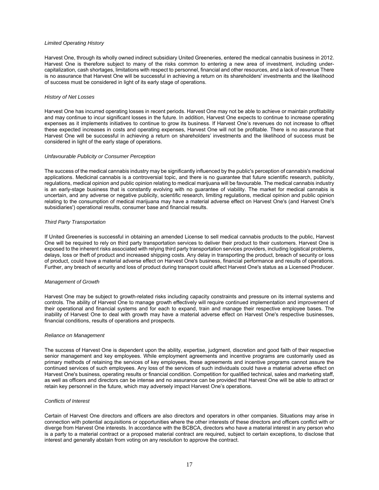# *Limited Operating History*

Harvest One, through its wholly owned indirect subsidiary United Greeneries, entered the medical cannabis business in 2012. Harvest One is therefore subject to many of the risks common to entering a new area of investment, including undercapitalization, cash shortages, limitations with respect to personnel, financial and other resources, and a lack of revenue There is no assurance that Harvest One will be successful in achieving a return on its shareholders' investments and the likelihood of success must be considered in light of its early stage of operations.

# *History of Net Losses*

Harvest One has incurred operating losses in recent periods. Harvest One may not be able to achieve or maintain profitability and may continue to incur significant losses in the future. In addition, Harvest One expects to continue to increase operating expenses as it implements initiatives to continue to grow its business. If Harvest One's revenues do not increase to offset these expected increases in costs and operating expenses, Harvest One will not be profitable. There is no assurance that Harvest One will be successful in achieving a return on shareholders' investments and the likelihood of success must be considered in light of the early stage of operations.

# *Unfavourable Publicity or Consumer Perception*

The success of the medical cannabis industry may be significantly influenced by the public's perception of cannabis's medicinal applications. Medicinal cannabis is a controversial topic, and there is no guarantee that future scientific research, publicity, regulations, medical opinion and public opinion relating to medical marijuana will be favourable. The medical cannabis industry is an early-stage business that is constantly evolving with no guarantee of viability. The market for medical cannabis is uncertain, and any adverse or negative publicity, scientific research, limiting regulations, medical opinion and public opinion relating to the consumption of medical marijuana may have a material adverse effect on Harvest One's (and Harvest One's subsidiaries') operational results, consumer base and financial results.

# *Third Party Transportation*

If United Greeneries is successful in obtaining an amended License to sell medical cannabis products to the public, Harvest One will be required to rely on third party transportation services to deliver their product to their customers. Harvest One is exposed to the inherent risks associated with relying third party transportation services providers, including logistical problems, delays, loss or theft of product and increased shipping costs. Any delay in transporting the product, breach of security or loss of product, could have a material adverse effect on Harvest One's business, financial performance and results of operations. Further, any breach of security and loss of product during transport could affect Harvest One's status as a Licensed Producer.

#### *Management of Growth*

Harvest One may be subject to growth-related risks including capacity constraints and pressure on its internal systems and controls. The ability of Harvest One to manage growth effectively will require continued implementation and improvement of their operational and financial systems and for each to expand, train and manage their respective employee bases. The inability of Harvest One to deal with growth may have a material adverse effect on Harvest One's respective businesses, financial conditions, results of operations and prospects.

#### *Reliance on Management*

The success of Harvest One is dependent upon the ability, expertise, judgment, discretion and good faith of their respective senior management and key employees. While employment agreements and incentive programs are customarily used as primary methods of retaining the services of key employees, these agreements and incentive programs cannot assure the continued services of such employees. Any loss of the services of such individuals could have a material adverse effect on Harvest One's business, operating results or financial condition. Competition for qualified technical, sales and marketing staff, as well as officers and directors can be intense and no assurance can be provided that Harvest One will be able to attract or retain key personnel in the future, which may adversely impact Harvest One's operations.

# *Conflicts of Interest*

Certain of Harvest One directors and officers are also directors and operators in other companies. Situations may arise in connection with potential acquisitions or opportunities where the other interests of these directors and officers conflict with or diverge from Harvest One interests. In accordance with the BCBCA, directors who have a material interest in any person who is a party to a material contract or a proposed material contract are required, subject to certain exceptions, to disclose that interest and generally abstain from voting on any resolution to approve the contract.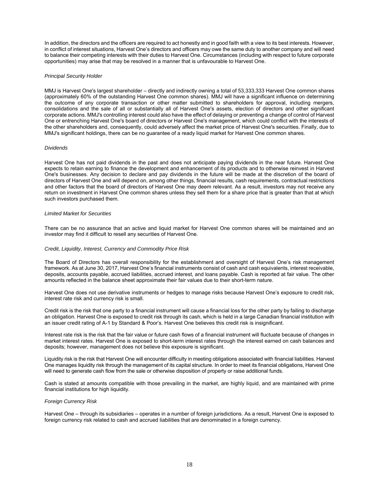In addition, the directors and the officers are required to act honestly and in good faith with a view to its best interests. However, in conflict of interest situations, Harvest One's directors and officers may owe the same duty to another company and will need to balance their competing interests with their duties to Harvest One. Circumstances (including with respect to future corporate opportunities) may arise that may be resolved in a manner that is unfavourable to Harvest One.

# *Principal Security Holder*

MMJ is Harvest One's largest shareholder – directly and indirectly owning a total of 53,333,333 Harvest One common shares (approximately 60% of the outstanding Harvest One common shares). MMJ will have a significant influence on determining the outcome of any corporate transaction or other matter submitted to shareholders for approval, including mergers, consolidations and the sale of all or substantially all of Harvest One's assets, election of directors and other significant corporate actions. MMJ's controlling interest could also have the effect of delaying or preventing a change of control of Harvest One or entrenching Harvest One's board of directors or Harvest One's management, which could conflict with the interests of the other shareholders and, consequently, could adversely affect the market price of Harvest One's securities. Finally, due to MMJ's significant holdings, there can be no guarantee of a ready liquid market for Harvest One common shares.

# *Dividends*

Harvest One has not paid dividends in the past and does not anticipate paying dividends in the near future. Harvest One expects to retain earning to finance the development and enhancement of its products and to otherwise reinvest in Harvest One's businesses. Any decision to declare and pay dividends in the future will be made at the discretion of the board of directors of Harvest One and will depend on, among other things, financial results, cash requirements, contractual restrictions and other factors that the board of directors of Harvest One may deem relevant. As a result, investors may not receive any return on investment in Harvest One common shares unless they sell them for a share price that is greater than that at which such investors purchased them.

# *Limited Market for Securities*

There can be no assurance that an active and liquid market for Harvest One common shares will be maintained and an investor may find it difficult to resell any securities of Harvest One.

# *Credit, Liquidity, Interest, Currency and Commodity Price Risk*

The Board of Directors has overall responsibility for the establishment and oversight of Harvest One's risk management framework. As at June 30, 2017, Harvest One's financial instruments consist of cash and cash equivalents, interest receivable, deposits, accounts payable, accrued liabilities, accrued interest, and loans payable. Cash is reported at fair value. The other amounts reflected in the balance sheet approximate their fair values due to their short-term nature.

Harvest One does not use derivative instruments or hedges to manage risks because Harvest One's exposure to credit risk, interest rate risk and currency risk is small.

Credit risk is the risk that one party to a financial instrument will cause a financial loss for the other party by failing to discharge an obligation. Harvest One is exposed to credit risk through its cash, which is held in a large Canadian financial institution with an issuer credit rating of A-1 by Standard & Poor's. Harvest One believes this credit risk is insignificant.

Interest rate risk is the risk that the fair value or future cash flows of a financial instrument will fluctuate because of changes in market interest rates. Harvest One is exposed to short-term interest rates through the interest earned on cash balances and deposits; however, management does not believe this exposure is significant.

Liquidity risk is the risk that Harvest One will encounter difficulty in meeting obligations associated with financial liabilities. Harvest One manages liquidity risk through the management of its capital structure. In order to meet its financial obligations, Harvest One will need to generate cash flow from the sale or otherwise disposition of property or raise additional funds.

Cash is stated at amounts compatible with those prevailing in the market, are highly liquid, and are maintained with prime financial institutions for high liquidity.

#### *Foreign Currency Risk*

Harvest One – through its subsidiaries – operates in a number of foreign jurisdictions. As a result, Harvest One is exposed to foreign currency risk related to cash and accrued liabilities that are denominated in a foreign currency.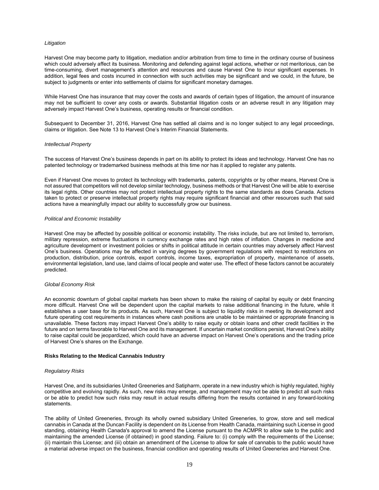# *Litigation*

Harvest One may become party to litigation, mediation and/or arbitration from time to time in the ordinary course of business which could adversely affect its business. Monitoring and defending against legal actions, whether or not meritorious, can be time-consuming, divert management's attention and resources and cause Harvest One to incur significant expenses. In addition, legal fees and costs incurred in connection with such activities may be significant and we could, in the future, be subject to judgments or enter into settlements of claims for significant monetary damages.

While Harvest One has insurance that may cover the costs and awards of certain types of litigation, the amount of insurance may not be sufficient to cover any costs or awards. Substantial litigation costs or an adverse result in any litigation may adversely impact Harvest One's business, operating results or financial condition.

Subsequent to December 31, 2016, Harvest One has settled all claims and is no longer subject to any legal proceedings, claims or litigation. See Note 13 to Harvest One's Interim Financial Statements.

#### *Intellectual Property*

The success of Harvest One's business depends in part on its ability to protect its ideas and technology. Harvest One has no patented technology or trademarked business methods at this time nor has it applied to register any patents.

Even if Harvest One moves to protect its technology with trademarks, patents, copyrights or by other means, Harvest One is not assured that competitors will not develop similar technology, business methods or that Harvest One will be able to exercise its legal rights. Other countries may not protect intellectual property rights to the same standards as does Canada. Actions taken to protect or preserve intellectual property rights may require significant financial and other resources such that said actions have a meaningfully impact our ability to successfully grow our business.

# *Political and Economic Instability*

Harvest One may be affected by possible political or economic instability. The risks include, but are not limited to, terrorism, military repression, extreme fluctuations in currency exchange rates and high rates of inflation. Changes in medicine and agriculture development or investment policies or shifts in political attitude in certain countries may adversely affect Harvest One's business. Operations may be affected in varying degrees by government regulations with respect to restrictions on production, distribution, price controls, export controls, income taxes, expropriation of property, maintenance of assets, environmental legislation, land use, land claims of local people and water use. The effect of these factors cannot be accurately predicted.

#### *Global Economy Risk*

An economic downturn of global capital markets has been shown to make the raising of capital by equity or debt financing more difficult. Harvest One will be dependent upon the capital markets to raise additional financing in the future, while it establishes a user base for its products. As such, Harvest One is subject to liquidity risks in meeting its development and future operating cost requirements in instances where cash positions are unable to be maintained or appropriate financing is unavailable. These factors may impact Harvest One's ability to raise equity or obtain loans and other credit facilities in the future and on terms favorable to Harvest One and its management. If uncertain market conditions persist, Harvest One's ability to raise capital could be jeopardized, which could have an adverse impact on Harvest One's operations and the trading price of Harvest One's shares on the Exchange.

# **Risks Relating to the Medical Cannabis Industry**

#### *Regulatory Risks*

Harvest One, and its subsidiaries United Greeneries and Satipharm, operate in a new industry which is highly regulated, highly competitive and evolving rapidly. As such, new risks may emerge, and management may not be able to predict all such risks or be able to predict how such risks may result in actual results differing from the results contained in any forward-looking statements.

The ability of United Greeneries, through its wholly owned subsidiary United Greeneries, to grow, store and sell medical cannabis in Canada at the Duncan Facility is dependent on its License from Health Canada, maintaining such License in good standing, obtaining Health Canada's approval to amend the License pursuant to the ACMPR to allow sale to the public and maintaining the amended License (if obtained) in good standing. Failure to: (i) comply with the requirements of the License; (ii) maintain this License; and (iii) obtain an amendment of the License to allow for sale of cannabis to the public would have a material adverse impact on the business, financial condition and operating results of United Greeneries and Harvest One.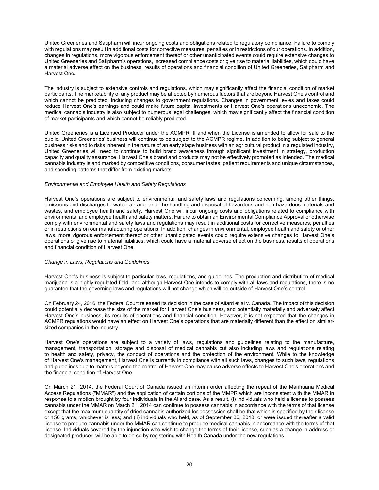United Greeneries and Satipharm will incur ongoing costs and obligations related to regulatory compliance. Failure to comply with regulations may result in additional costs for corrective measures, penalties or in restrictions of our operations. In addition, changes in regulations, more vigorous enforcement thereof or other unanticipated events could require extensive changes to United Greeneries and Satipharm's operations, increased compliance costs or give rise to material liabilities, which could have a material adverse effect on the business, results of operations and financial condition of United Greeneries, Satipharm and Harvest One.

The industry is subject to extensive controls and regulations, which may significantly affect the financial condition of market participants. The marketability of any product may be affected by numerous factors that are beyond Harvest One's control and which cannot be predicted, including changes to government regulations. Changes in government levies and taxes could reduce Harvest One's earnings and could make future capital investments or Harvest One's operations uneconomic. The medical cannabis industry is also subject to numerous legal challenges, which may significantly affect the financial condition of market participants and which cannot be reliably predicted.

United Greeneries is a Licensed Producer under the ACMPR. If and when the License is amended to allow for sale to the public, United Greeneries' business will continue to be subject to the ACMPR regime. In addition to being subject to general business risks and to risks inherent in the nature of an early stage business with an agricultural product in a regulated industry, United Greeneries will need to continue to build brand awareness through significant investment in strategy, production capacity and quality assurance. Harvest One's brand and products may not be effectively promoted as intended. The medical cannabis industry is and marked by competitive conditions, consumer tastes, patient requirements and unique circumstances, and spending patterns that differ from existing markets.

# *Environmental and Employee Health and Safety Regulations*

Harvest One's operations are subject to environmental and safety laws and regulations concerning, among other things, emissions and discharges to water, air and land; the handling and disposal of hazardous and non-hazardous materials and wastes, and employee health and safety. Harvest One will incur ongoing costs and obligations related to compliance with environmental and employee health and safety matters. Failure to obtain an Environmental Compliance Approval or otherwise comply with environmental and safety laws and regulations may result in additional costs for corrective measures, penalties or in restrictions on our manufacturing operations. In addition, changes in environmental, employee health and safety or other laws, more vigorous enforcement thereof or other unanticipated events could require extensive changes to Harvest One's operations or give rise to material liabilities, which could have a material adverse effect on the business, results of operations and financial condition of Harvest One.

# *Change in Laws, Regulations and Guidelines*

Harvest One's business is subject to particular laws, regulations, and guidelines. The production and distribution of medical marijuana is a highly regulated field, and although Harvest One intends to comply with all laws and regulations, there is no guarantee that the governing laws and regulations will not change which will be outside of Harvest One's control.

On February 24, 2016, the Federal Court released its decision in the case of Allard et al v. Canada. The impact of this decision could potentially decrease the size of the market for Harvest One's business, and potentially materially and adversely affect Harvest One's business, its results of operations and financial condition. However, it is not expected that the changes in ACMPR regulations would have an effect on Harvest One's operations that are materially different than the effect on similarsized companies in the industry.

Harvest One's operations are subject to a variety of laws, regulations and guidelines relating to the manufacture, management, transportation, storage and disposal of medical cannabis but also including laws and regulations relating to health and safety, privacy, the conduct of operations and the protection of the environment. While to the knowledge of Harvest One's management, Harvest One is currently in compliance with all such laws, changes to such laws, regulations and guidelines due to matters beyond the control of Harvest One may cause adverse effects to Harvest One's operations and the financial condition of Harvest One.

On March 21, 2014, the Federal Court of Canada issued an interim order affecting the repeal of the Marihuana Medical Access Regulations ("MMAR") and the application of certain portions of the MMPR which are inconsistent with the MMAR in response to a motion brought by four individuals in the Allard case. As a result, (i) individuals who held a license to possess cannabis under the MMAR on March 21, 2014 can continue to possess cannabis in accordance with the terms of that license except that the maximum quantity of dried cannabis authorized for possession shall be that which is specified by their license or 150 grams, whichever is less; and (ii) individuals who held, as of September 30, 2013, or were issued thereafter a valid license to produce cannabis under the MMAR can continue to produce medical cannabis in accordance with the terms of that license. Individuals covered by the injunction who wish to change the terms of their license, such as a change in address or designated producer, will be able to do so by registering with Health Canada under the new regulations.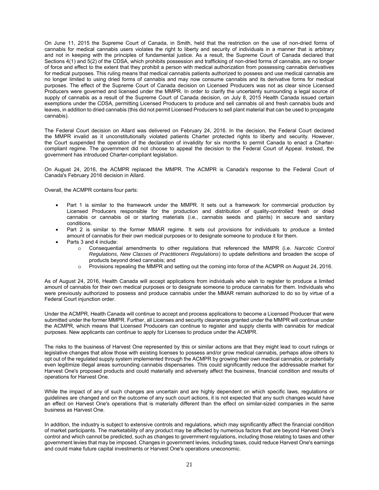On June 11, 2015 the Supreme Court of Canada, in Smith, held that the restriction on the use of non-dried forms of cannabis for medical cannabis users violates the right to liberty and security of individuals in a manner that is arbitrary and not in keeping with the principles of fundamental justice. As a result, the Supreme Court of Canada declared that Sections 4(1) and 5(2) of the CDSA, which prohibits possession and trafficking of non-dried forms of cannabis, are no longer of force and effect to the extent that they prohibit a person with medical authorization from possessing cannabis derivatives for medical purposes. This ruling means that medical cannabis patients authorized to possess and use medical cannabis are no longer limited to using dried forms of cannabis and may now consume cannabis and its derivative forms for medical purposes. The effect of the Supreme Court of Canada decision on Licensed Producers was not as clear since Licensed Producers were governed and licensed under the MMPR. In order to clarify the uncertainty surrounding a legal source of supply of cannabis as a result of the Supreme Court of Canada decision, on July 8, 2015 Health Canada issued certain exemptions under the CDSA, permitting Licensed Producers to produce and sell cannabis oil and fresh cannabis buds and leaves, in addition to dried cannabis (this did not permit Licensed Producers to sell plant material that can be used to propagate cannabis).

The Federal Court decision on Allard was delivered on February 24, 2016. In the decision, the Federal Court declared the MMPR invalid as it unconstitutionally violated patients Charter protected rights to liberty and security. However, the Court suspended the operation of the declaration of invalidity for six months to permit Canada to enact a Chartercompliant regime. The government did not choose to appeal the decision to the Federal Court of Appeal. Instead, the government has introduced Charter-compliant legislation.

On August 24, 2016, the ACMPR replaced the MMPR. The ACMPR is Canada's response to the Federal Court of Canada's February 2016 decision in Allard.

Overall, the ACMPR contains four parts:

- Part 1 is similar to the framework under the MMPR. It sets out a framework for commercial production by Licensed Producers responsible for the production and distribution of quality-controlled fresh or dried cannabis or cannabis oil or starting materials (i.e., cannabis seeds and plants) in secure and sanitary conditions.
- Part 2 is similar to the former MMAR regime. It sets out provisions for individuals to produce a limited amount of cannabis for their own medical purposes or to designate someone to produce it for them.
- Parts 3 and 4 include:
	- o Consequential amendments to other regulations that referenced the MMPR (i.e. *Narcotic Control Regulations, New Classes of Practitioners Regulations*) to update definitions and broaden the scope of products beyond dried cannabis; and
	- o Provisions repealing the MMPR and setting out the coming into force of the ACMPR on August 24, 2016.

As of August 24, 2016, Health Canada will accept applications from individuals who wish to register to produce a limited amount of cannabis for their own medical purposes or to designate someone to produce cannabis for them. Individuals who were previously authorized to possess and produce cannabis under the MMAR remain authorized to do so by virtue of a Federal Court injunction order.

Under the ACMPR, Health Canada will continue to accept and process applications to become a Licensed Producer that were submitted under the former MMPR. Further, all Licenses and security clearances granted under the MMPR will continue under the ACMPR, which means that Licensed Producers can continue to register and supply clients with cannabis for medical purposes. New applicants can continue to apply for Licenses to produce under the ACMPR.

The risks to the business of Harvest One represented by this or similar actions are that they might lead to court rulings or legislative changes that allow those with existing licenses to possess and/or grow medical cannabis, perhaps allow others to opt out of the regulated supply system implemented through the ACMPR by growing their own medical cannabis, or potentially even legitimize illegal areas surrounding cannabis dispensaries. This could significantly reduce the addressable market for Harvest One's proposed products and could materially and adversely affect the business, financial condition and results of operations for Harvest One.

While the impact of any of such changes are uncertain and are highly dependent on which specific laws, regulations or guidelines are changed and on the outcome of any such court actions, it is not expected that any such changes would have an effect on Harvest One's operations that is materially different than the effect on similar-sized companies in the same business as Harvest One.

In addition, the industry is subject to extensive controls and regulations, which may significantly affect the financial condition of market participants. The marketability of any product may be affected by numerous factors that are beyond Harvest One's control and which cannot be predicted, such as changes to government regulations, including those relating to taxes and other government levies that may be imposed. Changes in government levies, including taxes, could reduce Harvest One's earnings and could make future capital investments or Harvest One's operations uneconomic.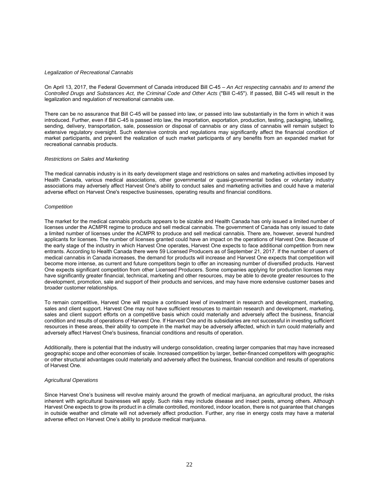# *Legalization of Recreational Cannabis*

On April 13, 2017, the Federal Government of Canada introduced Bill C-45 – *An Act respecting cannabis and to amend the Controlled Drugs and Substances Act, the Criminal Code and Other Acts* ("Bill C-45"). If passed, Bill C-45 will result in the legalization and regulation of recreational cannabis use.

There can be no assurance that Bill C-45 will be passed into law, or passed into law substantially in the form in which it was introduced. Further, even if Bill C-45 is passed into law, the importation, exportation, production, testing, packaging, labelling, sending, delivery, transportation, sale, possession or disposal of cannabis or any class of cannabis will remain subject to extensive regulatory oversight. Such extensive controls and regulations may significantly affect the financial condition of market participants, and prevent the realization of such market participants of any benefits from an expanded market for recreational cannabis products.

# *Restrictions on Sales and Marketing*

The medical cannabis industry is in its early development stage and restrictions on sales and marketing activities imposed by Health Canada, various medical associations, other governmental or quasi-governmental bodies or voluntary industry associations may adversely affect Harvest One's ability to conduct sales and marketing activities and could have a material adverse effect on Harvest One's respective businesses, operating results and financial conditions.

# *Competition*

The market for the medical cannabis products appears to be sizable and Health Canada has only issued a limited number of licenses under the ACMPR regime to produce and sell medical cannabis. The government of Canada has only issued to date a limited number of licenses under the ACMPR to produce and sell medical cannabis. There are, however, several hundred applicants for licenses. The number of licenses granted could have an impact on the operations of Harvest One. Because of the early stage of the industry in which Harvest One operates, Harvest One expects to face additional competition from new entrants. According to Health Canada there were 59 Licensed Producers as of September 21, 2017. If the number of users of medical cannabis in Canada increases, the demand for products will increase and Harvest One expects that competition will become more intense, as current and future competitors begin to offer an increasing number of diversified products. Harvest One expects significant competition from other Licensed Producers. Some companies applying for production licenses may have significantly greater financial, technical, marketing and other resources, may be able to devote greater resources to the development, promotion, sale and support of their products and services, and may have more extensive customer bases and broader customer relationships.

To remain competitive, Harvest One will require a continued level of investment in research and development, marketing, sales and client support. Harvest One may not have sufficient resources to maintain research and development, marketing, sales and client support efforts on a competitive basis which could materially and adversely affect the business, financial condition and results of operations of Harvest One. If Harvest One and its subsidiaries are not successful in investing sufficient resources in these areas, their ability to compete in the market may be adversely affected, which in turn could materially and adversely affect Harvest One's business, financial conditions and results of operation.

Additionally, there is potential that the industry will undergo consolidation, creating larger companies that may have increased geographic scope and other economies of scale. Increased competition by larger, better-financed competitors with geographic or other structural advantages could materially and adversely affect the business, financial condition and results of operations of Harvest One.

# *Agricultural Operations*

Since Harvest One's business will revolve mainly around the growth of medical marijuana, an agricultural product, the risks inherent with agricultural businesses will apply. Such risks may include disease and insect pests, among others. Although Harvest One expects to grow its product in a climate controlled, monitored, indoor location, there is not guarantee that changes in outside weather and climate will not adversely affect production. Further, any rise in energy costs may have a material adverse effect on Harvest One's ability to produce medical marijuana.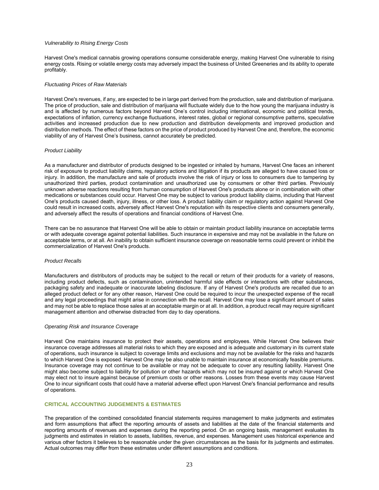# *Vulnerability to Rising Energy Costs*

Harvest One's medical cannabis growing operations consume considerable energy, making Harvest One vulnerable to rising energy costs. Rising or volatile energy costs may adversely impact the business of United Greeneries and its ability to operate profitably.

# *Fluctuating Prices of Raw Materials*

Harvest One's revenues, if any, are expected to be in large part derived from the production, sale and distribution of marijuana. The price of production, sale and distribution of marijuana will fluctuate widely due to the how young the marijuana industry is and is affected by numerous factors beyond Harvest One's control including international, economic and political trends, expectations of inflation, currency exchange fluctuations, interest rates, global or regional consumptive patterns, speculative activities and increased production due to new production and distribution developments and improved production and distribution methods. The effect of these factors on the price of product produced by Harvest One and, therefore, the economic viability of any of Harvest One's business, cannot accurately be predicted.

# *Product Liability*

As a manufacturer and distributor of products designed to be ingested or inhaled by humans. Harvest One faces an inherent risk of exposure to product liability claims, regulatory actions and litigation if its products are alleged to have caused loss or injury. In addition, the manufacture and sale of products involve the risk of injury or loss to consumers due to tampering by unauthorized third parties, product contamination and unauthorized use by consumers or other third parties. Previously unknown adverse reactions resulting from human consumption of Harvest One's products alone or in combination with other medications or substances could occur. Harvest One may be subject to various product liability claims, including that Harvest One's products caused death, injury, illness, or other loss. A product liability claim or regulatory action against Harvest One could result in increased costs, adversely affect Harvest One's reputation with its respective clients and consumers generally, and adversely affect the results of operations and financial conditions of Harvest One.

There can be no assurance that Harvest One will be able to obtain or maintain product liability insurance on acceptable terms or with adequate coverage against potential liabilities. Such insurance in expensive and may not be available in the future on acceptable terms, or at all. An inability to obtain sufficient insurance coverage on reasonable terms could prevent or inhibit the commercialization of Harvest One's products.

# *Product Recalls*

Manufacturers and distributors of products may be subject to the recall or return of their products for a variety of reasons, including product defects, such as contamination, unintended harmful side effects or interactions with other substances, packaging safety and inadequate or inaccurate labeling disclosure. If any of Harvest One's products are recalled due to an alleged product defect or for any other reason, Harvest One could be required to incur the unexpected expense of the recall and any legal proceedings that might arise in connection with the recall. Harvest One may lose a significant amount of sales and may not be able to replace those sales at an acceptable margin or at all. In addition, a product recall may require significant management attention and otherwise distracted from day to day operations.

# *Operating Risk and Insurance Coverage*

Harvest One maintains insurance to protect their assets, operations and employees. While Harvest One believes their insurance coverage addresses all material risks to which they are exposed and is adequate and customary in its current state of operations, such insurance is subject to coverage limits and exclusions and may not be available for the risks and hazards to which Harvest One is exposed. Harvest One may be also unable to maintain insurance at economically feasible premiums. Insurance coverage may not continue to be available or may not be adequate to cover any resulting liability. Harvest One might also become subject to liability for pollution or other hazards which may not be insured against or which Harvest One may elect not to insure against because of premium costs or other reasons. Losses from these events may cause Harvest One to incur significant costs that could have a material adverse effect upon Harvest One's financial performance and results of operations.

# **CRITICAL ACCOUNTING JUDGEMENTS & ESTIMATES**

The preparation of the combined consolidated financial statements requires management to make judgments and estimates and form assumptions that affect the reporting amounts of assets and liabilities at the date of the financial statements and reporting amounts of revenues and expenses during the reporting period. On an ongoing basis, management evaluates its judgments and estimates in relation to assets, liabilities, revenue, and expenses. Management uses historical experience and various other factors it believes to be reasonable under the given circumstances as the basis for its judgments and estimates. Actual outcomes may differ from these estimates under different assumptions and conditions.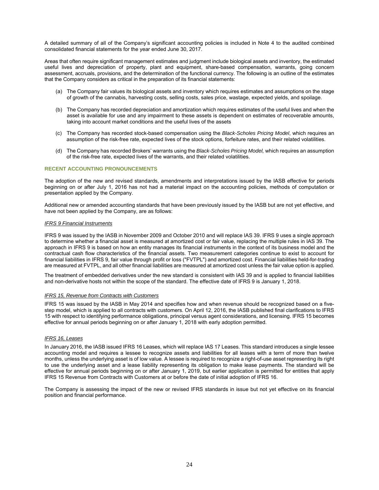A detailed summary of all of the Company's significant accounting policies is included in Note 4 to the audited combined consolidated financial statements for the year ended June 30, 2017.

Areas that often require significant management estimates and judgment include biological assets and inventory, the estimated useful lives and depreciation of property, plant and equipment, share-based compensation, warrants, going concern assessment, accruals, provisions, and the determination of the functional currency. The following is an outline of the estimates that the Company considers as critical in the preparation of its financial statements:

- (a) The Company fair values its biological assets and inventory which requires estimates and assumptions on the stage of growth of the cannabis, harvesting costs, selling costs, sales price, wastage, expected yields, and spoilage.
- (b) The Company has recorded depreciation and amortization which requires estimates of the useful lives and when the asset is available for use and any impairment to these assets is dependent on estimates of recoverable amounts, taking into account market conditions and the useful lives of the assets
- (c) The Company has recorded stock-based compensation using the *Black-Scholes Pricing Model*, which requires an assumption of the risk-free rate, expected lives of the stock options, forfeiture rates, and their related volatilities.
- (d) The Company has recorded Brokers' warrants using the *Black-Scholes Pricing Model,* which requires an assumption of the risk-free rate, expected lives of the warrants, and their related volatilities.

# **RECENT ACCOUNTING PRONOUNCEMENTS**

The adoption of the new and revised standards, amendments and interpretations issued by the IASB effective for periods beginning on or after July 1, 2016 has not had a material impact on the accounting policies, methods of computation or presentation applied by the Company.

Additional new or amended accounting standards that have been previously issued by the IASB but are not yet effective, and have not been applied by the Company, are as follows:

# *IFRS 9 Financial Instruments*

IFRS 9 was issued by the IASB in November 2009 and October 2010 and will replace IAS 39. IFRS 9 uses a single approach to determine whether a financial asset is measured at amortized cost or fair value, replacing the multiple rules in IAS 39. The approach in IFRS 9 is based on how an entity manages its financial instruments in the context of its business model and the contractual cash flow characteristics of the financial assets. Two measurement categories continue to exist to account for financial liabilities in IFRS 9, fair value through profit or loss ("FVTPL") and amortized cost. Financial liabilities held-for-trading are measured at FVTPL, and all other financial liabilities are measured at amortized cost unless the fair value option is applied.

The treatment of embedded derivatives under the new standard is consistent with IAS 39 and is applied to financial liabilities and non-derivative hosts not within the scope of the standard. The effective date of IFRS 9 is January 1, 2018.

# *IFRS 15, Revenue from Contracts with Customers*

IFRS 15 was issued by the IASB in May 2014 and specifies how and when revenue should be recognized based on a fivestep model, which is applied to all contracts with customers. On April 12, 2016, the IASB published final clarifications to IFRS 15 with respect to identifying performance obligations, principal versus agent considerations, and licensing. IFRS 15 becomes effective for annual periods beginning on or after January 1, 2018 with early adoption permitted.

# *IFRS 16, Leases*

In January 2016, the IASB issued IFRS 16 Leases, which will replace IAS 17 Leases. This standard introduces a single lessee accounting model and requires a lessee to recognize assets and liabilities for all leases with a term of more than twelve months, unless the underlying asset is of low value. A lessee is required to recognize a right-of-use asset representing its right to use the underlying asset and a lease liability representing its obligation to make lease payments. The standard will be effective for annual periods beginning on or after January 1, 2019, but earlier application is permitted for entities that apply IFRS 15 Revenue from Contracts with Customers at or before the date of initial adoption of IFRS 16.

The Company is assessing the impact of the new or revised IFRS standards in issue but not yet effective on its financial position and financial performance.